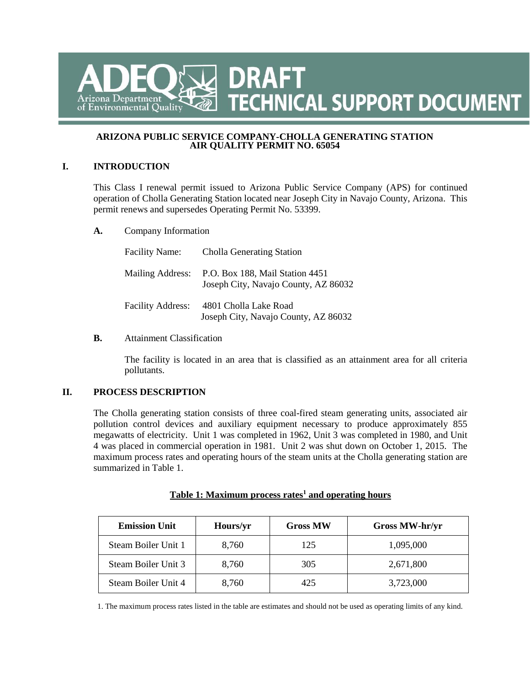# **TECHNICAL SUPPORT DOCUMENT TECHNICAL SUPPORT DOCUMENT** zona Department of Environmental Quality

#### **ARIZONA PUBLIC SERVICE COMPANY-CHOLLA GENERATING STATION AIR QUALITY PERMIT NO. 65054**

### **I. INTRODUCTION**

This Class I renewal permit issued to Arizona Public Service Company (APS) for continued operation of Cholla Generating Station located near Joseph City in Navajo County, Arizona. This permit renews and supersedes Operating Permit No. 53399.

**A.** Company Information

| <b>Facility Name:</b>    | <b>Cholla Generating Station</b>                                        |
|--------------------------|-------------------------------------------------------------------------|
| Mailing Address:         | P.O. Box 188, Mail Station 4451<br>Joseph City, Navajo County, AZ 86032 |
| <b>Facility Address:</b> | 4801 Cholla Lake Road<br>Joseph City, Navajo County, AZ 86032           |

### **B.** Attainment Classification

The facility is located in an area that is classified as an attainment area for all criteria pollutants.

### **II. PROCESS DESCRIPTION**

The Cholla generating station consists of three coal-fired steam generating units, associated air pollution control devices and auxiliary equipment necessary to produce approximately 855 megawatts of electricity. Unit 1 was completed in 1962, Unit 3 was completed in 1980, and Unit 4 was placed in commercial operation in 1981. Unit 2 was shut down on October 1, 2015. The maximum process rates and operating hours of the steam units at the Cholla generating station are summarized in Table 1.

| <b>Emission Unit</b> | Hours/yr | <b>Gross MW</b> | Gross MW-hr/yr |
|----------------------|----------|-----------------|----------------|
| Steam Boiler Unit 1  | 8.760    | 125             | 1,095,000      |
| Steam Boiler Unit 3  | 8,760    | 305             | 2,671,800      |
| Steam Boiler Unit 4  | 8,760    | 425             | 3,723,000      |

### Table 1: Maximum process rates<sup>1</sup> and operating hours

1. The maximum process rates listed in the table are estimates and should not be used as operating limits of any kind.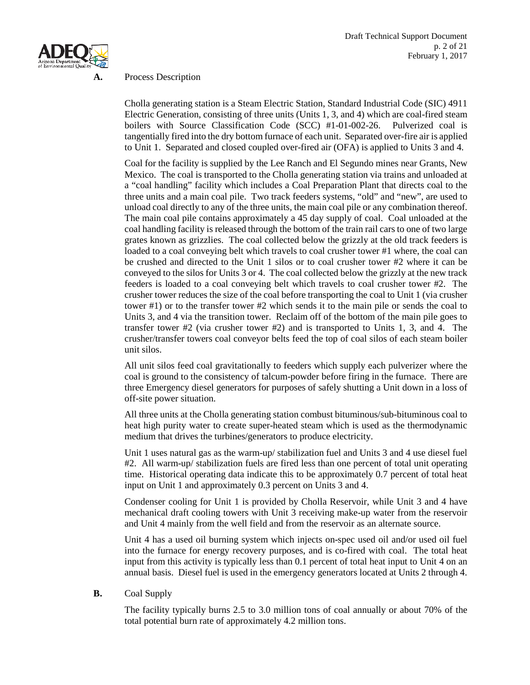

### **A.** Process Description

Cholla generating station is a Steam Electric Station, Standard Industrial Code (SIC) 4911 Electric Generation, consisting of three units (Units 1, 3, and 4) which are coal-fired steam boilers with Source Classification Code (SCC) #1-01-002-26. Pulverized coal is tangentially fired into the dry bottom furnace of each unit. Separated over-fire air is applied to Unit 1. Separated and closed coupled over-fired air (OFA) is applied to Units 3 and 4.

Coal for the facility is supplied by the Lee Ranch and El Segundo mines near Grants, New Mexico. The coal is transported to the Cholla generating station via trains and unloaded at a "coal handling" facility which includes a Coal Preparation Plant that directs coal to the three units and a main coal pile. Two track feeders systems, "old" and "new", are used to unload coal directly to any of the three units, the main coal pile or any combination thereof. The main coal pile contains approximately a 45 day supply of coal. Coal unloaded at the coal handling facility is released through the bottom of the train rail cars to one of two large grates known as grizzlies. The coal collected below the grizzly at the old track feeders is loaded to a coal conveying belt which travels to coal crusher tower #1 where, the coal can be crushed and directed to the Unit 1 silos or to coal crusher tower #2 where it can be conveyed to the silos for Units 3 or 4. The coal collected below the grizzly at the new track feeders is loaded to a coal conveying belt which travels to coal crusher tower #2. The crusher tower reduces the size of the coal before transporting the coal to Unit 1 (via crusher tower #1) or to the transfer tower #2 which sends it to the main pile or sends the coal to Units 3, and 4 via the transition tower. Reclaim off of the bottom of the main pile goes to transfer tower #2 (via crusher tower #2) and is transported to Units 1, 3, and 4. The crusher/transfer towers coal conveyor belts feed the top of coal silos of each steam boiler unit silos.

All unit silos feed coal gravitationally to feeders which supply each pulverizer where the coal is ground to the consistency of talcum-powder before firing in the furnace. There are three Emergency diesel generators for purposes of safely shutting a Unit down in a loss of off-site power situation.

All three units at the Cholla generating station combust bituminous/sub-bituminous coal to heat high purity water to create super-heated steam which is used as the thermodynamic medium that drives the turbines/generators to produce electricity.

Unit 1 uses natural gas as the warm-up/ stabilization fuel and Units 3 and 4 use diesel fuel #2. All warm-up/ stabilization fuels are fired less than one percent of total unit operating time. Historical operating data indicate this to be approximately 0.7 percent of total heat input on Unit 1 and approximately 0.3 percent on Units 3 and 4.

Condenser cooling for Unit 1 is provided by Cholla Reservoir, while Unit 3 and 4 have mechanical draft cooling towers with Unit 3 receiving make-up water from the reservoir and Unit 4 mainly from the well field and from the reservoir as an alternate source.

Unit 4 has a used oil burning system which injects on-spec used oil and/or used oil fuel into the furnace for energy recovery purposes, and is co-fired with coal. The total heat input from this activity is typically less than 0.1 percent of total heat input to Unit 4 on an annual basis. Diesel fuel is used in the emergency generators located at Units 2 through 4.

### **B.** Coal Supply

The facility typically burns 2.5 to 3.0 million tons of coal annually or about 70% of the total potential burn rate of approximately 4.2 million tons.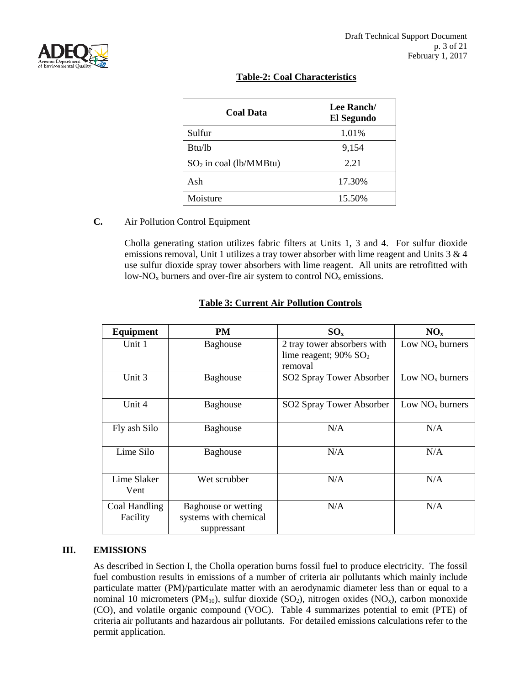

### **Table-2: Coal Characteristics**

| <b>Coal Data</b>         | Lee Ranch/<br>El Segundo |
|--------------------------|--------------------------|
| Sulfur                   | 1.01%                    |
| Btu/lb                   | 9,154                    |
| $SO2$ in coal (lb/MMBtu) | 2.21                     |
| Ash                      | 17.30%                   |
| Moisture                 | 15.50%                   |

### **C.** Air Pollution Control Equipment

Cholla generating station utilizes fabric filters at Units 1, 3 and 4. For sulfur dioxide emissions removal, Unit 1 utilizes a tray tower absorber with lime reagent and Units 3 & 4 use sulfur dioxide spray tower absorbers with lime reagent. All units are retrofitted with low-NO<sub>x</sub> burners and over-fire air system to control  $NO<sub>x</sub>$  emissions.

| <b>Equipment</b>          | PM                                                          | $SO_{x}$                                                                       | NO <sub>x</sub>   |
|---------------------------|-------------------------------------------------------------|--------------------------------------------------------------------------------|-------------------|
| Unit 1                    | <b>Baghouse</b>                                             | 2 tray tower absorbers with<br>lime reagent; $90\%$ SO <sub>2</sub><br>removal | Low $NOx$ burners |
| Unit 3                    | Baghouse                                                    | SO2 Spray Tower Absorber                                                       | Low $NOx$ burners |
| Unit 4                    | <b>Baghouse</b>                                             | SO2 Spray Tower Absorber                                                       | Low $NOx$ burners |
| Fly ash Silo              | <b>Baghouse</b>                                             | N/A                                                                            | N/A               |
| Lime Silo                 | <b>Baghouse</b>                                             | N/A                                                                            | N/A               |
| Lime Slaker<br>Vent       | Wet scrubber                                                | N/A                                                                            | N/A               |
| Coal Handling<br>Facility | Baghouse or wetting<br>systems with chemical<br>suppressant | N/A                                                                            | N/A               |

### **Table 3: Current Air Pollution Controls**

### **III. EMISSIONS**

As described in Section I, the Cholla operation burns fossil fuel to produce electricity. The fossil fuel combustion results in emissions of a number of criteria air pollutants which mainly include particulate matter (PM)/particulate matter with an aerodynamic diameter less than or equal to a nominal 10 micrometers (PM<sub>10</sub>), sulfur dioxide (SO<sub>2</sub>), nitrogen oxides (NO<sub>x</sub>), carbon monoxide (CO), and volatile organic compound (VOC). Table 4 summarizes potential to emit (PTE) of criteria air pollutants and hazardous air pollutants. For detailed emissions calculations refer to the permit application.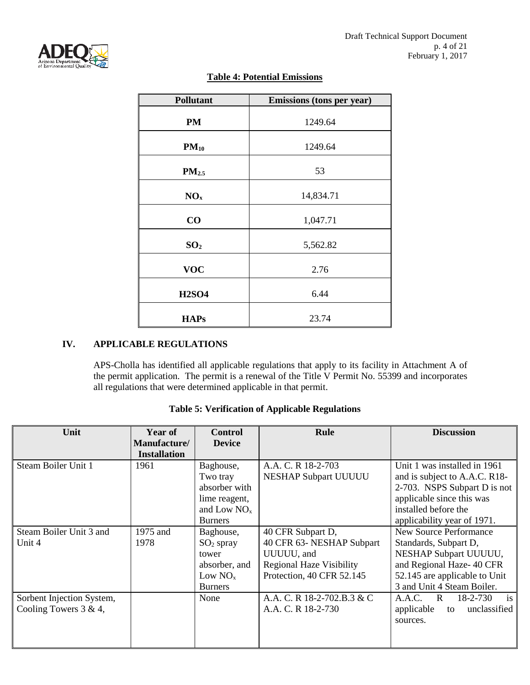

# **Table 4: Potential Emissions**

| <b>Pollutant</b>  | Emissions (tons per year) |
|-------------------|---------------------------|
| PM                | 1249.64                   |
| $PM_{10}$         | 1249.64                   |
| PM <sub>2.5</sub> | 53                        |
| NO <sub>x</sub>   | 14,834.71                 |
| CO                | 1,047.71                  |
| SO <sub>2</sub>   | 5,562.82                  |
| <b>VOC</b>        | 2.76                      |
| <b>H2SO4</b>      | 6.44                      |
| <b>HAPs</b>       | 23.74                     |

# **IV. APPLICABLE REGULATIONS**

APS-Cholla has identified all applicable regulations that apply to its facility in Attachment A of the permit application. The permit is a renewal of the Title V Permit No. 55399 and incorporates all regulations that were determined applicable in that permit.

| Unit                      | Year of<br>Manufacture/ | <b>Control</b><br><b>Device</b> | Rule                            | <b>Discussion</b>             |
|---------------------------|-------------------------|---------------------------------|---------------------------------|-------------------------------|
|                           | <b>Installation</b>     |                                 |                                 |                               |
| Steam Boiler Unit 1       | 1961                    | Baghouse,                       | A.A. C. R 18-2-703              | Unit 1 was installed in 1961  |
|                           |                         | Two tray                        | <b>NESHAP Subpart UUUUU</b>     | and is subject to A.A.C. R18- |
|                           |                         | absorber with                   |                                 | 2-703. NSPS Subpart D is not  |
|                           |                         | lime reagent,                   |                                 | applicable since this was     |
|                           |                         | and Low $NOx$                   |                                 | installed before the          |
|                           |                         | <b>Burners</b>                  |                                 | applicability year of 1971.   |
| Steam Boiler Unit 3 and   | 1975 and                | Baghouse,                       | 40 CFR Subpart D,               | New Source Performance        |
| Unit 4                    | 1978                    | $SO2$ spray                     | 40 CFR 63- NESHAP Subpart       | Standards, Subpart D,         |
|                           |                         | tower                           | UUUUU, and                      | NESHAP Subpart UUUUU,         |
|                           |                         | absorber, and                   | <b>Regional Haze Visibility</b> | and Regional Haze-40 CFR      |
|                           |                         | Low $NOx$                       | Protection, 40 CFR 52.145       | 52.145 are applicable to Unit |
|                           |                         | <b>Burners</b>                  |                                 | 3 and Unit 4 Steam Boiler.    |
| Sorbent Injection System, |                         | None                            | A.A. C. R 18-2-702.B.3 & C      | is<br>A.A.C. R<br>18-2-730    |
| Cooling Towers $3 & 4$ ,  |                         |                                 | A.A. C. R 18-2-730              | applicable to<br>unclassified |
|                           |                         |                                 |                                 | sources.                      |
|                           |                         |                                 |                                 |                               |
|                           |                         |                                 |                                 |                               |

# **Table 5: Verification of Applicable Regulations**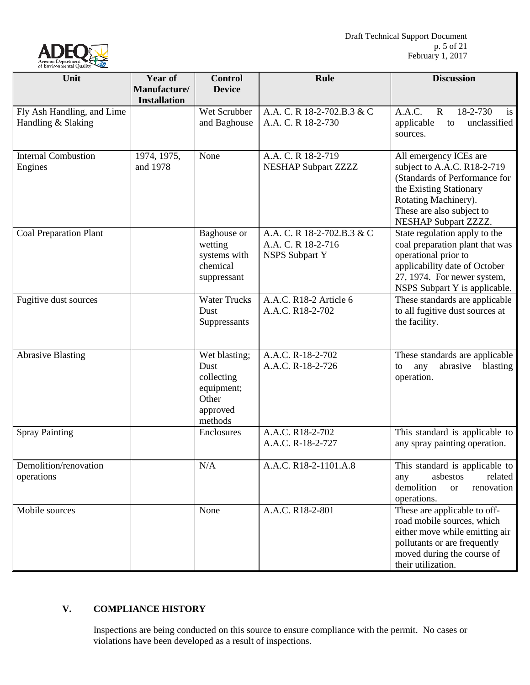

| Unit                                  | <b>Year of</b>                      | <b>Control</b>                                                                    | Rule                                                                      | <b>Discussion</b>                                                                                                                                                                              |
|---------------------------------------|-------------------------------------|-----------------------------------------------------------------------------------|---------------------------------------------------------------------------|------------------------------------------------------------------------------------------------------------------------------------------------------------------------------------------------|
|                                       | Manufacture/<br><b>Installation</b> | <b>Device</b>                                                                     |                                                                           |                                                                                                                                                                                                |
| Fly Ash Handling, and Lime            |                                     | Wet Scrubber                                                                      | A.A. C. R 18-2-702.B.3 & C                                                | A.A.C.<br>18-2-730<br>$\mathbf{R}$<br>is                                                                                                                                                       |
| Handling & Slaking                    |                                     | and Baghouse                                                                      | A.A. C. R 18-2-730                                                        | applicable<br>unclassified<br>to<br>sources.                                                                                                                                                   |
| <b>Internal Combustion</b><br>Engines | 1974, 1975,<br>and 1978             | None                                                                              | A.A. C. R 18-2-719<br><b>NESHAP Subpart ZZZZ</b>                          | All emergency ICEs are<br>subject to A.A.C. R18-2-719<br>(Standards of Performance for<br>the Existing Stationary<br>Rotating Machinery).<br>These are also subject to<br>NESHAP Subpart ZZZZ. |
| <b>Coal Preparation Plant</b>         |                                     | Baghouse or<br>wetting<br>systems with<br>chemical<br>suppressant                 | A.A. C. R 18-2-702.B.3 & C<br>A.A. C. R 18-2-716<br><b>NSPS Subpart Y</b> | State regulation apply to the<br>coal preparation plant that was<br>operational prior to<br>applicability date of October<br>27, 1974. For newer system,<br>NSPS Subpart Y is applicable.      |
| Fugitive dust sources                 |                                     | <b>Water Trucks</b><br>Dust<br>Suppressants                                       | A.A.C. R18-2 Article 6<br>A.A.C. R18-2-702                                | These standards are applicable<br>to all fugitive dust sources at<br>the facility.                                                                                                             |
| <b>Abrasive Blasting</b>              |                                     | Wet blasting;<br>Dust<br>collecting<br>equipment;<br>Other<br>approved<br>methods | A.A.C. R-18-2-702<br>A.A.C. R-18-2-726                                    | These standards are applicable<br>abrasive<br>blasting<br>to<br>any<br>operation.                                                                                                              |
| <b>Spray Painting</b>                 |                                     | Enclosures                                                                        | A.A.C. R18-2-702<br>A.A.C. R-18-2-727                                     | This standard is applicable to<br>any spray painting operation.                                                                                                                                |
| Demolition/renovation<br>operations   |                                     | N/A                                                                               | A.A.C. R18-2-1101.A.8                                                     | This standard is applicable to<br>asbestos<br>related<br>any<br>demolition<br>renovation<br><b>or</b><br>operations.                                                                           |
| Mobile sources                        |                                     | None                                                                              | A.A.C. R18-2-801                                                          | These are applicable to off-<br>road mobile sources, which<br>either move while emitting air<br>pollutants or are frequently<br>moved during the course of<br>their utilization.               |

# **V. COMPLIANCE HISTORY**

Inspections are being conducted on this source to ensure compliance with the permit. No cases or violations have been developed as a result of inspections.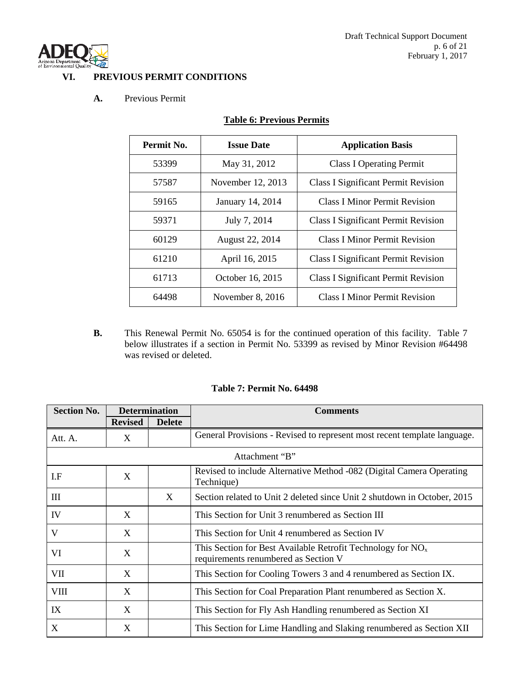

### **VI. PREVIOUS PERMIT CONDITIONS**

### **A.** Previous Permit

| Permit No. | <b>Issue Date</b> | <b>Application Basis</b>                   |
|------------|-------------------|--------------------------------------------|
| 53399      | May 31, 2012      | <b>Class I Operating Permit</b>            |
| 57587      | November 12, 2013 | <b>Class I Significant Permit Revision</b> |
| 59165      | January 14, 2014  | <b>Class I Minor Permit Revision</b>       |
| 59371      | July 7, 2014      | <b>Class I Significant Permit Revision</b> |
| 60129      | August 22, 2014   | <b>Class I Minor Permit Revision</b>       |
| 61210      | April 16, 2015    | <b>Class I Significant Permit Revision</b> |
| 61713      | October 16, 2015  | <b>Class I Significant Permit Revision</b> |
| 64498      | November 8, 2016  | <b>Class I Minor Permit Revision</b>       |

# **Table 6: Previous Permits**

**B.** This Renewal Permit No. 65054 is for the continued operation of this facility. Table 7 below illustrates if a section in Permit No. 53399 as revised by Minor Revision #64498 was revised or deleted.

| <b>Table 7: Permit No. 64498</b> |
|----------------------------------|
|----------------------------------|

| <b>Section No.</b>               | <b>Determination</b> |               | <b>Comments</b>                                                                                       |  |
|----------------------------------|----------------------|---------------|-------------------------------------------------------------------------------------------------------|--|
|                                  | <b>Revised</b>       | <b>Delete</b> |                                                                                                       |  |
| Att. A.                          | X                    |               | General Provisions - Revised to represent most recent template language.                              |  |
|                                  |                      |               | Attachment "B"                                                                                        |  |
| I.F                              | X                    |               | Revised to include Alternative Method -082 (Digital Camera Operating<br>Technique)                    |  |
| $\mathop{\mathrm{III}}\nolimits$ |                      | X             | Section related to Unit 2 deleted since Unit 2 shutdown in October, 2015                              |  |
| IV                               | X                    |               | This Section for Unit 3 renumbered as Section III                                                     |  |
| V                                | X                    |               | This Section for Unit 4 renumbered as Section IV                                                      |  |
| VI                               | X                    |               | This Section for Best Available Retrofit Technology for $NOx$<br>requirements renumbered as Section V |  |
| VII                              | X                    |               | This Section for Cooling Towers 3 and 4 renumbered as Section IX.                                     |  |
| <b>VIII</b>                      | X                    |               | This Section for Coal Preparation Plant renumbered as Section X.                                      |  |
| IX                               | X                    |               | This Section for Fly Ash Handling renumbered as Section XI                                            |  |
| $\boldsymbol{\mathrm{X}}$        | X                    |               | This Section for Lime Handling and Slaking renumbered as Section XII                                  |  |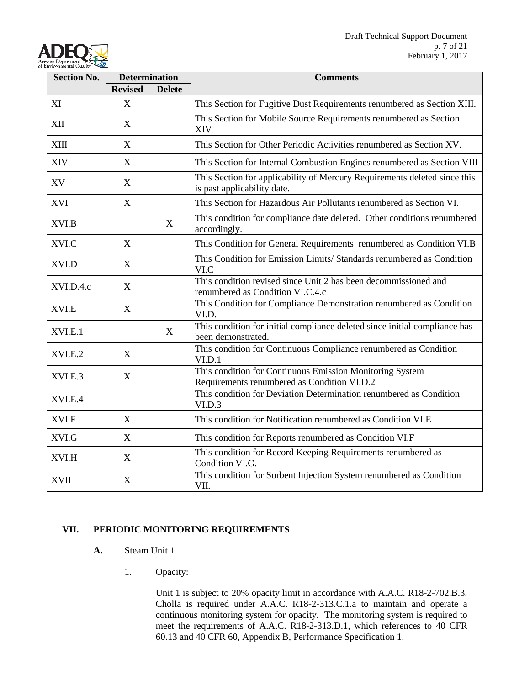

| <b>Section No.</b> |                | <b>Determination</b> | <b>Comments</b>                                                                                          |
|--------------------|----------------|----------------------|----------------------------------------------------------------------------------------------------------|
|                    | <b>Revised</b> | <b>Delete</b>        |                                                                                                          |
| XI                 | X              |                      | This Section for Fugitive Dust Requirements renumbered as Section XIII.                                  |
| XII                | X              |                      | This Section for Mobile Source Requirements renumbered as Section<br>XIV.                                |
| <b>XIII</b>        | $\mathbf X$    |                      | This Section for Other Periodic Activities renumbered as Section XV.                                     |
| <b>XIV</b>         | X              |                      | This Section for Internal Combustion Engines renumbered as Section VIII                                  |
| XV                 | X              |                      | This Section for applicability of Mercury Requirements deleted since this<br>is past applicability date. |
| <b>XVI</b>         | X              |                      | This Section for Hazardous Air Pollutants renumbered as Section VI.                                      |
| XVI.B              |                | X                    | This condition for compliance date deleted. Other conditions renumbered<br>accordingly.                  |
| XVI.C              | X              |                      | This Condition for General Requirements renumbered as Condition VI.B                                     |
| XVI.D              | X              |                      | This Condition for Emission Limits/ Standards renumbered as Condition<br>VI.C                            |
| XVI.D.4.c          | X              |                      | This condition revised since Unit 2 has been decommissioned and<br>renumbered as Condition VI.C.4.c      |
| XVI.E              | X              |                      | This Condition for Compliance Demonstration renumbered as Condition<br>VI.D.                             |
| XVI.E.1            |                | X                    | This condition for initial compliance deleted since initial compliance has<br>been demonstrated.         |
| XVI.E.2            | X              |                      | This condition for Continuous Compliance renumbered as Condition<br>VI.D.1                               |
| XVI.E.3            | X              |                      | This condition for Continuous Emission Monitoring System<br>Requirements renumbered as Condition VI.D.2  |
| XVI.E.4            |                |                      | This condition for Deviation Determination renumbered as Condition<br>VI.D.3                             |
| XVI.F              | X              |                      | This condition for Notification renumbered as Condition VI.E                                             |
| XVI.G              | X              |                      | This condition for Reports renumbered as Condition VI.F                                                  |
| XVI.H              | X              |                      | This condition for Record Keeping Requirements renumbered as<br>Condition VI.G.                          |
| <b>XVII</b>        | X              |                      | This condition for Sorbent Injection System renumbered as Condition<br>VII.                              |

## **VII. PERIODIC MONITORING REQUIREMENTS**

- **A.** Steam Unit 1
	- 1. Opacity:

Unit 1 is subject to 20% opacity limit in accordance with A.A.C. R18-2-702.B.3. Cholla is required under A.A.C. R18-2-313.C.1.a to maintain and operate a continuous monitoring system for opacity. The monitoring system is required to meet the requirements of A.A.C. R18-2-313.D.1, which references to 40 CFR 60.13 and 40 CFR 60, Appendix B, Performance Specification 1.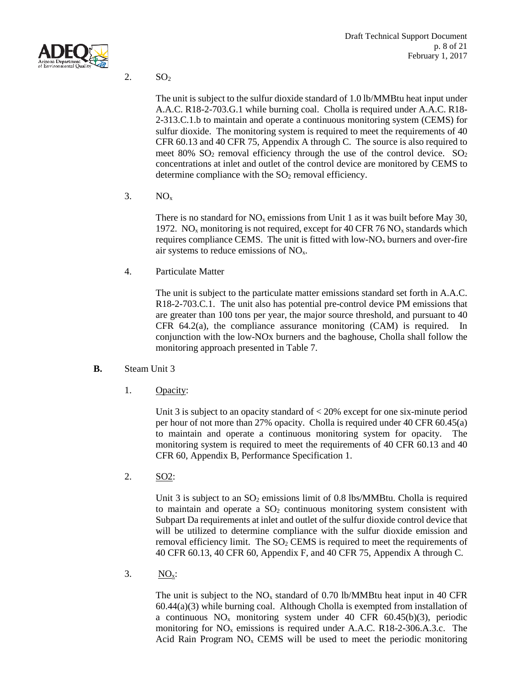

2.  $SO<sub>2</sub>$ 

The unit is subject to the sulfur dioxide standard of 1.0 lb/MMBtu heat input under A.A.C. R18-2-703.G.1 while burning coal. Cholla is required under A.A.C. R18- 2-313.C.1.b to maintain and operate a continuous monitoring system (CEMS) for sulfur dioxide. The monitoring system is required to meet the requirements of 40 CFR 60.13 and 40 CFR 75, Appendix A through C. The source is also required to meet  $80\%$  SO<sub>2</sub> removal efficiency through the use of the control device. SO<sub>2</sub> concentrations at inlet and outlet of the control device are monitored by CEMS to determine compliance with the  $SO<sub>2</sub>$  removal efficiency.

 $3. \qquad NO_x$ 

There is no standard for  $NO<sub>x</sub>$  emissions from Unit 1 as it was built before May 30, 1972. NO<sub>x</sub> monitoring is not required, except for 40 CFR 76 NO<sub>x</sub> standards which requires compliance CEMS. The unit is fitted with low- $N_{\rm Ox}$  burners and over-fire air systems to reduce emissions of  $NO<sub>x</sub>$ .

4. Particulate Matter

The unit is subject to the particulate matter emissions standard set forth in A.A.C. R18-2-703.C.1. The unit also has potential pre-control device PM emissions that are greater than 100 tons per year, the major source threshold, and pursuant to 40 CFR 64.2(a), the compliance assurance monitoring (CAM) is required. In conjunction with the low-NOx burners and the baghouse, Cholla shall follow the monitoring approach presented in Table 7.

- **B.** Steam Unit 3
	- 1. Opacity:

Unit 3 is subject to an opacity standard of < 20% except for one six-minute period per hour of not more than 27% opacity. Cholla is required under 40 CFR 60.45(a) to maintain and operate a continuous monitoring system for opacity. The monitoring system is required to meet the requirements of 40 CFR 60.13 and 40 CFR 60, Appendix B, Performance Specification 1.

2. SO2:

Unit 3 is subject to an  $SO_2$  emissions limit of 0.8 lbs/MMBtu. Cholla is required to maintain and operate a  $SO<sub>2</sub>$  continuous monitoring system consistent with Subpart Da requirements at inlet and outlet of the sulfur dioxide control device that will be utilized to determine compliance with the sulfur dioxide emission and removal efficiency limit. The  $SO<sub>2</sub>$  CEMS is required to meet the requirements of 40 CFR 60.13, 40 CFR 60, Appendix F, and 40 CFR 75, Appendix A through C.

3.  $NO<sub>x</sub>$ :

The unit is subject to the  $NO<sub>x</sub>$  standard of 0.70 lb/MMBtu heat input in 40 CFR 60.44(a)(3) while burning coal. Although Cholla is exempted from installation of a continuous  $NO<sub>x</sub>$  monitoring system under 40 CFR 60.45(b)(3), periodic monitoring for  $NO<sub>x</sub>$  emissions is required under A.A.C. R18-2-306.A.3.c. The Acid Rain Program  $NO<sub>x</sub>$  CEMS will be used to meet the periodic monitoring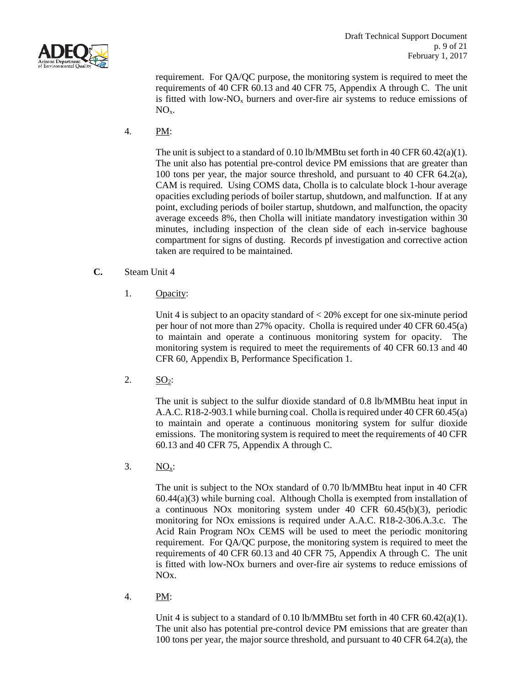

requirement. For QA/QC purpose, the monitoring system is required to meet the requirements of 40 CFR 60.13 and 40 CFR 75, Appendix A through C. The unit is fitted with low- $NO<sub>x</sub>$  burners and over-fire air systems to reduce emissions of  $NO<sub>x</sub>$ .

4. PM:

The unit is subject to a standard of 0.10 lb/MMBtu set forth in 40 CFR 60.42(a)(1). The unit also has potential pre-control device PM emissions that are greater than 100 tons per year, the major source threshold, and pursuant to 40 CFR 64.2(a), CAM is required. Using COMS data, Cholla is to calculate block 1-hour average opacities excluding periods of boiler startup, shutdown, and malfunction. If at any point, excluding periods of boiler startup, shutdown, and malfunction, the opacity average exceeds 8%, then Cholla will initiate mandatory investigation within 30 minutes, including inspection of the clean side of each in-service baghouse compartment for signs of dusting. Records pf investigation and corrective action taken are required to be maintained.

- **C.** Steam Unit 4
	- 1. Opacity:

Unit 4 is subject to an opacity standard of < 20% except for one six-minute period per hour of not more than 27% opacity. Cholla is required under 40 CFR 60.45(a) to maintain and operate a continuous monitoring system for opacity. The monitoring system is required to meet the requirements of 40 CFR 60.13 and 40 CFR 60, Appendix B, Performance Specification 1.

2.  $SO_2$ :

The unit is subject to the sulfur dioxide standard of 0.8 lb/MMBtu heat input in A.A.C. R18-2-903.1 while burning coal. Cholla is required under 40 CFR 60.45(a) to maintain and operate a continuous monitoring system for sulfur dioxide emissions. The monitoring system is required to meet the requirements of 40 CFR 60.13 and 40 CFR 75, Appendix A through C.

3.  $NO<sub>x</sub>$ :

The unit is subject to the NOx standard of 0.70 lb/MMBtu heat input in 40 CFR 60.44(a)(3) while burning coal. Although Cholla is exempted from installation of a continuous NOx monitoring system under 40 CFR 60.45(b)(3), periodic monitoring for NOx emissions is required under A.A.C. R18-2-306.A.3.c. The Acid Rain Program NOx CEMS will be used to meet the periodic monitoring requirement. For QA/QC purpose, the monitoring system is required to meet the requirements of 40 CFR 60.13 and 40 CFR 75, Appendix A through C. The unit is fitted with low-NOx burners and over-fire air systems to reduce emissions of NOx.

4. PM:

Unit 4 is subject to a standard of 0.10 lb/MMBtu set forth in 40 CFR 60.42(a)(1). The unit also has potential pre-control device PM emissions that are greater than 100 tons per year, the major source threshold, and pursuant to 40 CFR 64.2(a), the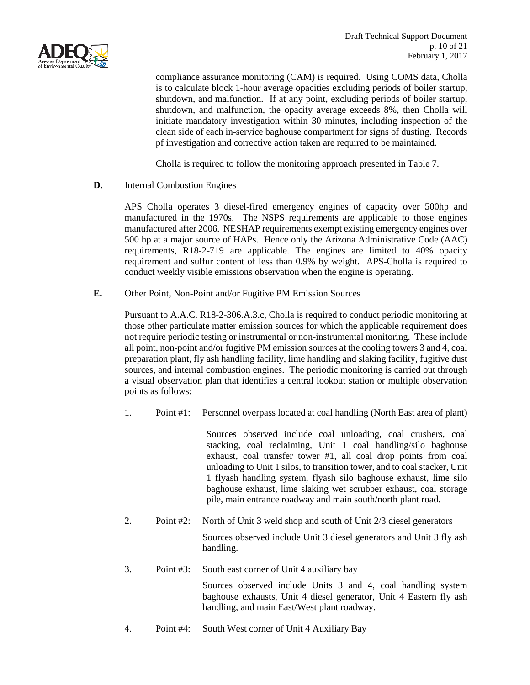

compliance assurance monitoring (CAM) is required. Using COMS data, Cholla is to calculate block 1-hour average opacities excluding periods of boiler startup, shutdown, and malfunction. If at any point, excluding periods of boiler startup, shutdown, and malfunction, the opacity average exceeds 8%, then Cholla will initiate mandatory investigation within 30 minutes, including inspection of the clean side of each in-service baghouse compartment for signs of dusting. Records pf investigation and corrective action taken are required to be maintained.

Cholla is required to follow the monitoring approach presented in Table 7.

**D.** Internal Combustion Engines

APS Cholla operates 3 diesel-fired emergency engines of capacity over 500hp and manufactured in the 1970s. The NSPS requirements are applicable to those engines manufactured after 2006. NESHAP requirements exempt existing emergency engines over 500 hp at a major source of HAPs. Hence only the Arizona Administrative Code (AAC) requirements, R18-2-719 are applicable. The engines are limited to 40% opacity requirement and sulfur content of less than 0.9% by weight. APS-Cholla is required to conduct weekly visible emissions observation when the engine is operating.

**E.** Other Point, Non-Point and/or Fugitive PM Emission Sources

Pursuant to A.A.C. R18-2-306.A.3.c, Cholla is required to conduct periodic monitoring at those other particulate matter emission sources for which the applicable requirement does not require periodic testing or instrumental or non-instrumental monitoring. These include all point, non-point and/or fugitive PM emission sources at the cooling towers 3 and 4, coal preparation plant, fly ash handling facility, lime handling and slaking facility, fugitive dust sources, and internal combustion engines. The periodic monitoring is carried out through a visual observation plan that identifies a central lookout station or multiple observation points as follows:

1. Point #1: Personnel overpass located at coal handling (North East area of plant)

Sources observed include coal unloading, coal crushers, coal stacking, coal reclaiming, Unit 1 coal handling/silo baghouse exhaust, coal transfer tower #1, all coal drop points from coal unloading to Unit 1 silos, to transition tower, and to coal stacker, Unit 1 flyash handling system, flyash silo baghouse exhaust, lime silo baghouse exhaust, lime slaking wet scrubber exhaust, coal storage pile, main entrance roadway and main south/north plant road.

2. Point #2: North of Unit 3 weld shop and south of Unit 2/3 diesel generators

Sources observed include Unit 3 diesel generators and Unit 3 fly ash handling.

3. Point #3: South east corner of Unit 4 auxiliary bay

Sources observed include Units 3 and 4, coal handling system baghouse exhausts, Unit 4 diesel generator, Unit 4 Eastern fly ash handling, and main East/West plant roadway.

4. Point #4: South West corner of Unit 4 Auxiliary Bay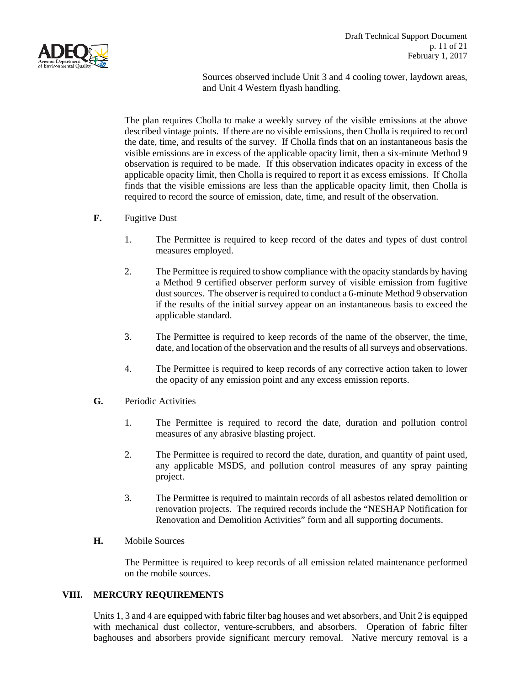

Sources observed include Unit 3 and 4 cooling tower, laydown areas, and Unit 4 Western flyash handling.

The plan requires Cholla to make a weekly survey of the visible emissions at the above described vintage points. If there are no visible emissions, then Cholla is required to record the date, time, and results of the survey. If Cholla finds that on an instantaneous basis the visible emissions are in excess of the applicable opacity limit, then a six-minute Method 9 observation is required to be made. If this observation indicates opacity in excess of the applicable opacity limit, then Cholla is required to report it as excess emissions. If Cholla finds that the visible emissions are less than the applicable opacity limit, then Cholla is required to record the source of emission, date, time, and result of the observation.

### **F.** Fugitive Dust

- 1. The Permittee is required to keep record of the dates and types of dust control measures employed.
- 2. The Permittee is required to show compliance with the opacity standards by having a Method 9 certified observer perform survey of visible emission from fugitive dust sources. The observer is required to conduct a 6-minute Method 9 observation if the results of the initial survey appear on an instantaneous basis to exceed the applicable standard.
- 3. The Permittee is required to keep records of the name of the observer, the time, date, and location of the observation and the results of all surveys and observations.
- 4. The Permittee is required to keep records of any corrective action taken to lower the opacity of any emission point and any excess emission reports.
- **G.** Periodic Activities
	- 1. The Permittee is required to record the date, duration and pollution control measures of any abrasive blasting project.
	- 2. The Permittee is required to record the date, duration, and quantity of paint used, any applicable MSDS, and pollution control measures of any spray painting project.
	- 3. The Permittee is required to maintain records of all asbestos related demolition or renovation projects. The required records include the "NESHAP Notification for Renovation and Demolition Activities" form and all supporting documents.
- **H.** Mobile Sources

The Permittee is required to keep records of all emission related maintenance performed on the mobile sources.

### **VIII. MERCURY REQUIREMENTS**

Units 1, 3 and 4 are equipped with fabric filter bag houses and wet absorbers, and Unit 2 is equipped with mechanical dust collector, venture-scrubbers, and absorbers. Operation of fabric filter baghouses and absorbers provide significant mercury removal. Native mercury removal is a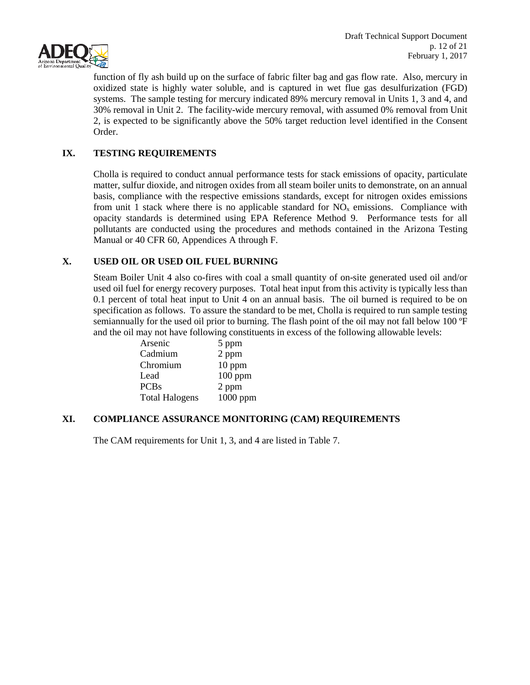

function of fly ash build up on the surface of fabric filter bag and gas flow rate. Also, mercury in oxidized state is highly water soluble, and is captured in wet flue gas desulfurization (FGD) systems. The sample testing for mercury indicated 89% mercury removal in Units 1, 3 and 4, and 30% removal in Unit 2. The facility-wide mercury removal, with assumed 0% removal from Unit 2, is expected to be significantly above the 50% target reduction level identified in the Consent Order.

### **IX. TESTING REQUIREMENTS**

Cholla is required to conduct annual performance tests for stack emissions of opacity, particulate matter, sulfur dioxide, and nitrogen oxides from all steam boiler units to demonstrate, on an annual basis, compliance with the respective emissions standards, except for nitrogen oxides emissions from unit 1 stack where there is no applicable standard for  $NO<sub>x</sub>$  emissions. Compliance with opacity standards is determined using EPA Reference Method 9. Performance tests for all pollutants are conducted using the procedures and methods contained in the Arizona Testing Manual or 40 CFR 60, Appendices A through F.

### **X. USED OIL OR USED OIL FUEL BURNING**

Steam Boiler Unit 4 also co-fires with coal a small quantity of on-site generated used oil and/or used oil fuel for energy recovery purposes. Total heat input from this activity is typically less than 0.1 percent of total heat input to Unit 4 on an annual basis. The oil burned is required to be on specification as follows. To assure the standard to be met. Cholla is required to run sample testing semiannually for the used oil prior to burning. The flash point of the oil may not fall below 100 ºF and the oil may not have following constituents in excess of the following allowable levels:

| Arsenic               | 5 ppm     |
|-----------------------|-----------|
| Cadmium               | 2 ppm     |
| Chromium              | $10$ ppm  |
| Lead                  | $100$ ppm |
| <b>PCBs</b>           | 2 ppm     |
| <b>Total Halogens</b> | 1000 ppm  |
|                       |           |

### **XI. COMPLIANCE ASSURANCE MONITORING (CAM) REQUIREMENTS**

The CAM requirements for Unit 1, 3, and 4 are listed in Table 7.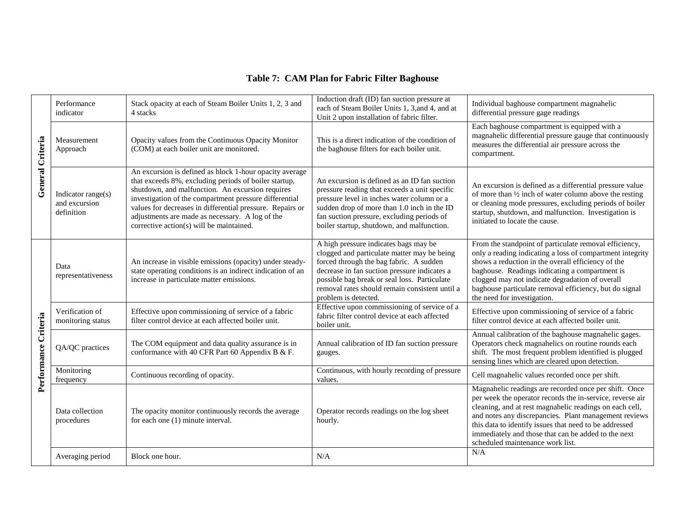# **Table 7: CAM Plan for Fabric Filter Baghouse**

| General Criteria     | Performance<br>indicator                          | Stack opacity at each of Steam Boiler Units 1, 2, 3 and<br>4 stacks                                                                                                                                                                                                                                                                                                                        | Induction draft (ID) fan suction pressure at<br>each of Steam Boiler Units 1, 3, and 4, and at<br>Unit 2 upon installation of fabric filter.                                                                                                                                                              | Individual baghouse compartment magnahelic<br>differential pressure gage readings                                                                                                                                                                                                                                                                                                           |
|----------------------|---------------------------------------------------|--------------------------------------------------------------------------------------------------------------------------------------------------------------------------------------------------------------------------------------------------------------------------------------------------------------------------------------------------------------------------------------------|-----------------------------------------------------------------------------------------------------------------------------------------------------------------------------------------------------------------------------------------------------------------------------------------------------------|---------------------------------------------------------------------------------------------------------------------------------------------------------------------------------------------------------------------------------------------------------------------------------------------------------------------------------------------------------------------------------------------|
|                      | Measurement<br>Approach                           | Opacity values from the Continuous Opacity Monitor<br>(COM) at each boiler unit are monitored.                                                                                                                                                                                                                                                                                             | This is a direct indication of the condition of<br>the baghouse filters for each boiler unit.                                                                                                                                                                                                             | Each baghouse compartment is equipped with a<br>magnahelic differential pressure gauge that continuously<br>measures the differential air pressure across the<br>compartment.                                                                                                                                                                                                               |
|                      | Indicator range(s)<br>and excursion<br>definition | An excursion is defined as block 1-hour opacity average<br>that exceeds 8%, excluding periods of boiler startup,<br>shutdown, and malfunction. An excursion requires<br>investigation of the compartment pressure differential<br>values for decreases in differential pressure. Repairs or<br>adjustments are made as necessary. A log of the<br>corrective action(s) will be maintained. | An excursion is defined as an ID fan suction<br>pressure reading that exceeds a unit specific<br>pressure level in inches water column or a<br>sudden drop of more than 1.0 inch in the ID<br>fan suction pressure, excluding periods of<br>boiler startup, shutdown, and malfunction.                    | An excursion is defined as a differential pressure value<br>of more than 1/2 inch of water column above the resting<br>or cleaning mode pressures, excluding periods of boiler<br>startup, shutdown, and malfunction. Investigation is<br>initiated to locate the cause.                                                                                                                    |
| Performance Criteria | Data<br>representativeness                        | An increase in visible emissions (opacity) under steady-<br>state operating conditions is an indirect indication of an<br>increase in particulate matter emissions.                                                                                                                                                                                                                        | A high pressure indicates bags may be<br>clogged and particulate matter may be being<br>forced through the bag fabric. A sudden<br>decrease in fan suction pressure indicates a<br>possible bag break or seal loss. Particulate<br>removal rates should remain consistent until a<br>problem is detected. | From the standpoint of particulate removal efficiency,<br>only a reading indicating a loss of compartment integrity<br>shows a reduction in the overall efficiency of the<br>baghouse. Readings indicating a compartment is<br>clogged may not indicate degradation of overall<br>baghouse particulate removal efficiency, but do signal<br>the need for investigation.                     |
|                      | Verification of<br>monitoring status              | Effective upon commissioning of service of a fabric<br>filter control device at each affected boiler unit.                                                                                                                                                                                                                                                                                 | Effective upon commissioning of service of a<br>fabric filter control device at each affected<br>boiler unit.                                                                                                                                                                                             | Effective upon commissioning of service of a fabric<br>filter control device at each affected boiler unit.                                                                                                                                                                                                                                                                                  |
|                      | QA/QC practices                                   | The COM equipment and data quality assurance is in<br>conformance with 40 CFR Part 60 Appendix B & F.                                                                                                                                                                                                                                                                                      | Annual calibration of ID fan suction pressure<br>gauges.                                                                                                                                                                                                                                                  | Annual calibration of the baghouse magnahelic gages.<br>Operators check magnahelics on routine rounds each<br>shift. The most frequent problem identified is plugged<br>sensing lines which are cleared upon detection.                                                                                                                                                                     |
|                      | Monitoring<br>frequency                           | Continuous recording of opacity.                                                                                                                                                                                                                                                                                                                                                           | Continuous, with hourly recording of pressure<br>values.                                                                                                                                                                                                                                                  | Cell magnahelic values recorded once per shift.                                                                                                                                                                                                                                                                                                                                             |
|                      | Data collection<br>procedures                     | The opacity monitor continuously records the average<br>for each one (1) minute interval.                                                                                                                                                                                                                                                                                                  | Operator records readings on the log sheet<br>hourly.                                                                                                                                                                                                                                                     | Magnahelic readings are recorded once per shift. Once<br>per week the operator records the in-service, reverse air<br>cleaning, and at rest magnahelic readings on each cell,<br>and notes any discrepancies. Plant management reviews<br>this data to identify issues that need to be addressed<br>immediately and those that can be added to the next<br>scheduled maintenance work list. |
|                      | Averaging period                                  | Block one hour.                                                                                                                                                                                                                                                                                                                                                                            | N/A                                                                                                                                                                                                                                                                                                       | N/A                                                                                                                                                                                                                                                                                                                                                                                         |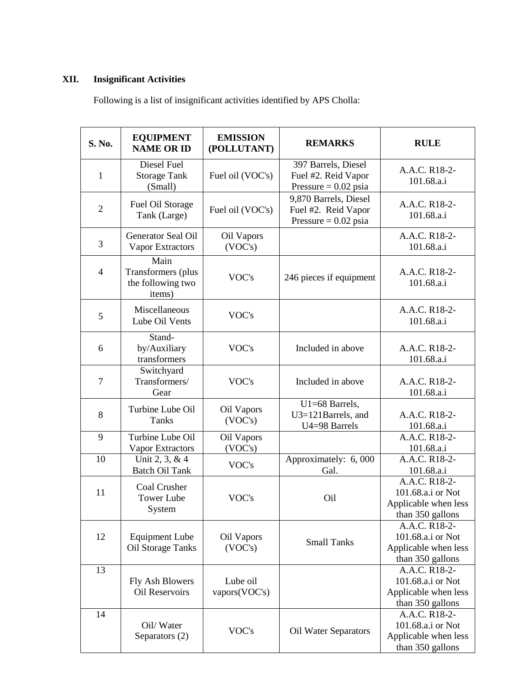# **XII. Insignificant Activities**

Following is a list of insignificant activities identified by APS Cholla:

| S. No.         | <b>EQUIPMENT</b><br><b>NAME OR ID</b>                     | <b>EMISSION</b><br>(POLLUTANT) | <b>REMARKS</b>                                                         | <b>RULE</b>                                                                    |
|----------------|-----------------------------------------------------------|--------------------------------|------------------------------------------------------------------------|--------------------------------------------------------------------------------|
| 1              | Diesel Fuel<br><b>Storage Tank</b><br>(Small)             | Fuel oil (VOC's)               | 397 Barrels, Diesel<br>Fuel #2. Reid Vapor<br>Pressure = $0.02$ psia   | A.A.C. R18-2-<br>101.68.a.i                                                    |
| $\overline{2}$ | Fuel Oil Storage<br>Tank (Large)                          | Fuel oil (VOC's)               | 9,870 Barrels, Diesel<br>Fuel #2. Reid Vapor<br>Pressure = $0.02$ psia | A.A.C. R18-2-<br>101.68.a.i                                                    |
| 3              | Generator Seal Oil<br>Vapor Extractors                    | Oil Vapors<br>(VOC's)          |                                                                        | A.A.C. R18-2-<br>101.68.a.i                                                    |
| $\overline{4}$ | Main<br>Transformers (plus<br>the following two<br>items) | VOC's                          | 246 pieces if equipment                                                | A.A.C. R18-2-<br>101.68.a.i                                                    |
| 5              | Miscellaneous<br>Lube Oil Vents                           | VOC's                          |                                                                        | A.A.C. R18-2-<br>101.68.a.i                                                    |
| 6              | Stand-<br>by/Auxiliary<br>transformers                    | VOC's                          | Included in above                                                      | A.A.C. R18-2-<br>101.68.a.i                                                    |
| $\overline{7}$ | Switchyard<br>Transformers/<br>Gear                       | VOC's                          | Included in above                                                      | A.A.C. R18-2-<br>101.68.a.i                                                    |
| 8              | Turbine Lube Oil<br>Tanks                                 | Oil Vapors<br>(VOC's)          | U1=68 Barrels,<br>U3=121Barrels, and<br>U4=98 Barrels                  | A.A.C. R18-2-<br>101.68.a.i                                                    |
| 9              | Turbine Lube Oil<br>Vapor Extractors                      | Oil Vapors<br>(VOC's)          |                                                                        | A.A.C. R18-2-<br>101.68.a.i                                                    |
| 10             | Unit 2, 3, & 4<br><b>Batch Oil Tank</b>                   | VOC's                          | Approximately: 6,000<br>Gal.                                           | A.A.C. R18-2-<br>101.68.a.i                                                    |
| 11             | Coal Crusher<br><b>Tower Lube</b><br>System               | VOC's                          | Oil                                                                    | A.A.C. R18-2-<br>101.68.a.i or Not<br>Applicable when less<br>than 350 gallons |
| 12             | <b>Equipment Lube</b><br>Oil Storage Tanks                | Oil Vapors<br>(VOC's)          | <b>Small Tanks</b>                                                     | A.A.C. R18-2-<br>101.68.a.i or Not<br>Applicable when less<br>than 350 gallons |
| 13             | Fly Ash Blowers<br><b>Oil Reservoirs</b>                  | Lube oil<br>vapors(VOC's)      |                                                                        | A.A.C. R18-2-<br>101.68.a.i or Not<br>Applicable when less<br>than 350 gallons |
| 14             | Oil/Water<br>Separators (2)                               | VOC's                          | Oil Water Separators                                                   | A.A.C. R18-2-<br>101.68.a.i or Not<br>Applicable when less<br>than 350 gallons |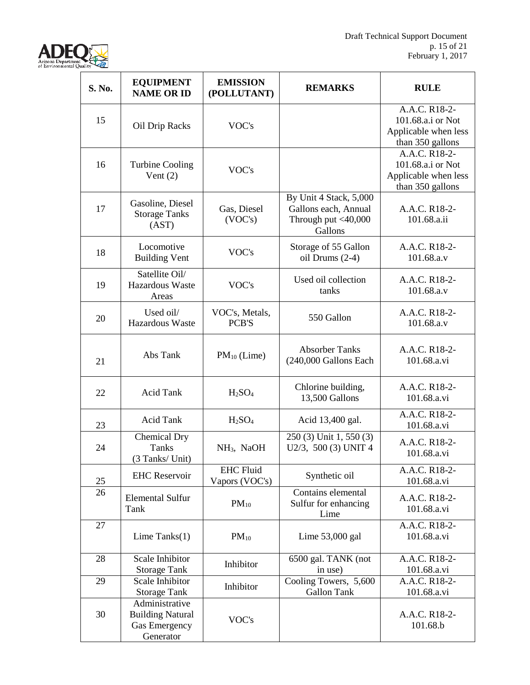

| S. No. | <b>EQUIPMENT</b><br><b>NAME OR ID</b>                                          | <b>EMISSION</b><br>(POLLUTANT)     | <b>REMARKS</b>                                                                   | <b>RULE</b>                                                                    |
|--------|--------------------------------------------------------------------------------|------------------------------------|----------------------------------------------------------------------------------|--------------------------------------------------------------------------------|
| 15     | Oil Drip Racks                                                                 | VOC's                              |                                                                                  | A.A.C. R18-2-<br>101.68.a.i or Not<br>Applicable when less<br>than 350 gallons |
| 16     | <b>Turbine Cooling</b><br>Vent $(2)$                                           | VOC's                              |                                                                                  | A.A.C. R18-2-<br>101.68.a.i or Not<br>Applicable when less<br>than 350 gallons |
| 17     | Gasoline, Diesel<br><b>Storage Tanks</b><br>(AST)                              | Gas, Diesel<br>(VOC's)             | By Unit 4 Stack, 5,000<br>Gallons each, Annual<br>Through put <40,000<br>Gallons | A.A.C. R18-2-<br>101.68.a.ii                                                   |
| 18     | Locomotive<br><b>Building Vent</b>                                             | VOC's                              | Storage of 55 Gallon<br>oil Drums $(2-4)$                                        | A.A.C. R18-2-<br>101.68.a.v                                                    |
| 19     | Satellite Oil/<br>Hazardous Waste<br>Areas                                     | VOC's                              | Used oil collection<br>tanks                                                     | A.A.C. R18-2-<br>101.68.a.v                                                    |
| 20     | Used oil/<br>Hazardous Waste                                                   | VOC's, Metals,<br>PCB'S            | 550 Gallon                                                                       | A.A.C. R18-2-<br>101.68.a.v                                                    |
| 21     | Abs Tank                                                                       | $PM_{10}$ (Lime)                   | <b>Absorber Tanks</b><br>(240,000 Gallons Each                                   | A.A.C. R18-2-<br>101.68.a.vi                                                   |
| 22     | <b>Acid Tank</b>                                                               | H <sub>2</sub> SO <sub>4</sub>     | Chlorine building,<br>13,500 Gallons                                             | A.A.C. R18-2-<br>101.68.a.vi                                                   |
| 23     | <b>Acid Tank</b>                                                               | H <sub>2</sub> SO <sub>4</sub>     | Acid 13,400 gal.                                                                 | A.A.C. R18-2-<br>101.68.a.vi                                                   |
| 24     | Chemical Dry<br><b>Tanks</b><br>(3 Tanks/ Unit)                                | NH <sub>3</sub> , NaOH             | 250 (3) Unit 1, 550 (3)<br>U2/3, 500 (3) UNIT 4                                  | A.A.C. R18-2-<br>101.68.a.vi                                                   |
| 25     | <b>EHC</b> Reservoir                                                           | <b>EHC Fluid</b><br>Vapors (VOC's) | Synthetic oil                                                                    | A.A.C. R18-2-<br>101.68.a.vi                                                   |
| 26     | <b>Elemental Sulfur</b><br>Tank                                                | $PM_{10}$                          | Contains elemental<br>Sulfur for enhancing<br>Lime                               | A.A.C. R18-2-<br>101.68.a.vi                                                   |
| 27     | Lime Tanks $(1)$                                                               | $PM_{10}$                          | Lime $53,000$ gal                                                                | A.A.C. R18-2-<br>101.68.a.vi                                                   |
| 28     | Scale Inhibitor<br><b>Storage Tank</b>                                         | Inhibitor                          | 6500 gal. TANK (not<br>in use)                                                   | A.A.C. R18-2-<br>101.68.a.vi                                                   |
| 29     | Scale Inhibitor<br><b>Storage Tank</b>                                         | Inhibitor                          | Cooling Towers, 5,600<br><b>Gallon Tank</b>                                      | A.A.C. R18-2-<br>101.68.a.vi                                                   |
| 30     | Administrative<br><b>Building Natural</b><br><b>Gas Emergency</b><br>Generator | VOC's                              |                                                                                  | A.A.C. R18-2-<br>101.68.b                                                      |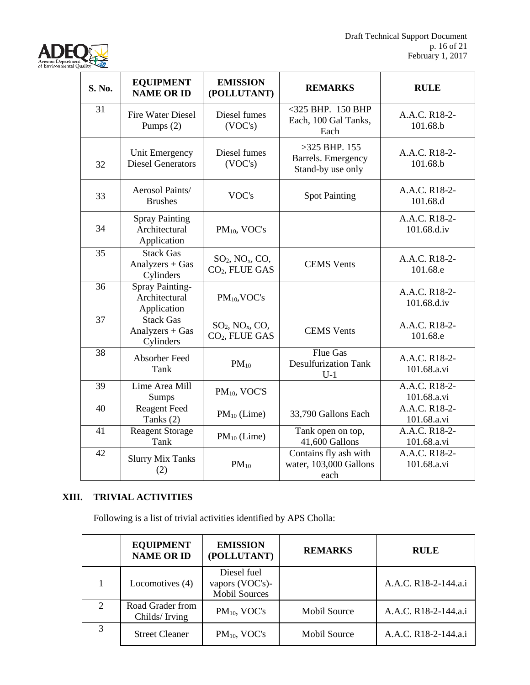

| S. No. | <b>EQUIPMENT</b><br><b>NAME OR ID</b>                  | <b>EMISSION</b><br>(POLLUTANT)                                          | <b>REMARKS</b>                                             | <b>RULE</b>                  |
|--------|--------------------------------------------------------|-------------------------------------------------------------------------|------------------------------------------------------------|------------------------------|
| 31     | <b>Fire Water Diesel</b><br>Pumps (2)                  | Diesel fumes<br>(VOC's)                                                 | $<$ 325 BHP. 150 BHP<br>Each, 100 Gal Tanks,<br>Each       | A.A.C. R18-2-<br>101.68.b    |
| 32     | Unit Emergency<br><b>Diesel Generators</b>             | Diesel fumes<br>(VOC's)                                                 | $>325$ BHP. 155<br>Barrels. Emergency<br>Stand-by use only | A.A.C. R18-2-<br>101.68.b    |
| 33     | Aerosol Paints/<br><b>Brushes</b>                      | VOC's                                                                   | <b>Spot Painting</b>                                       | A.A.C. R18-2-<br>101.68.d    |
| 34     | <b>Spray Painting</b><br>Architectural<br>Application  | PM <sub>10</sub> , VOC's                                                |                                                            | A.A.C. R18-2-<br>101.68.d.iv |
| 35     | <b>Stack Gas</b><br>Analyzers $+$ Gas<br>Cylinders     | $SO_2$ , $NO_x$ , $CO$ ,<br>CO <sub>2</sub> , FLUE GAS                  | <b>CEMS</b> Vents                                          | A.A.C. R18-2-<br>101.68.e    |
| 36     | <b>Spray Painting-</b><br>Architectural<br>Application | $PM_{10}$ , VOC's                                                       |                                                            | A.A.C. R18-2-<br>101.68.d.iv |
| 37     | <b>Stack Gas</b><br>Analyzers $+$ Gas<br>Cylinders     | $SO2$ , NO <sub>x</sub> , CO <sub>2</sub><br>CO <sub>2</sub> , FLUE GAS | <b>CEMS</b> Vents                                          | A.A.C. R18-2-<br>101.68.e    |
| 38     | Absorber Feed<br>Tank                                  | $PM_{10}$                                                               | <b>Flue Gas</b><br><b>Desulfurization Tank</b><br>$U-1$    | A.A.C. R18-2-<br>101.68.a.vi |
| 39     | Lime Area Mill<br>Sumps                                | PM <sub>10</sub> , VOC'S                                                |                                                            | A.A.C. R18-2-<br>101.68.a.vi |
| 40     | <b>Reagent Feed</b><br>Tanks $(2)$                     | $PM_{10}$ (Lime)                                                        | 33,790 Gallons Each                                        | A.A.C. R18-2-<br>101.68.a.vi |
| 41     | <b>Reagent Storage</b><br>Tank                         | $PM_{10}$ (Lime)                                                        | Tank open on top,<br>41,600 Gallons                        | A.A.C. R18-2-<br>101.68.a.vi |
| 42     | <b>Slurry Mix Tanks</b><br>(2)                         | $PM_{10}$                                                               | Contains fly ash with<br>water, 103,000 Gallons<br>each    | A.A.C. R18-2-<br>101.68.a.vi |

# **XIII. TRIVIAL ACTIVITIES**

Following is a list of trivial activities identified by APS Cholla:

|                             | <b>EQUIPMENT</b><br><b>NAME OR ID</b> | <b>EMISSION</b><br>(POLLUTANT)                         | <b>REMARKS</b>      | <b>RULE</b>          |
|-----------------------------|---------------------------------------|--------------------------------------------------------|---------------------|----------------------|
|                             | Locomotives (4)                       | Diesel fuel<br>vapors (VOC's)-<br><b>Mobil Sources</b> |                     | A.A.C. R18-2-144.a.i |
| $\mathcal{D}_{\mathcal{L}}$ | Road Grader from<br>Childs/Irving     | $PM_{10}$ , VOC's                                      | Mobil Source        | A.A.C. R18-2-144.a.i |
| 3                           | <b>Street Cleaner</b>                 | $PM_{10}$ , VOC's                                      | <b>Mobil Source</b> | A.A.C. R18-2-144.a.i |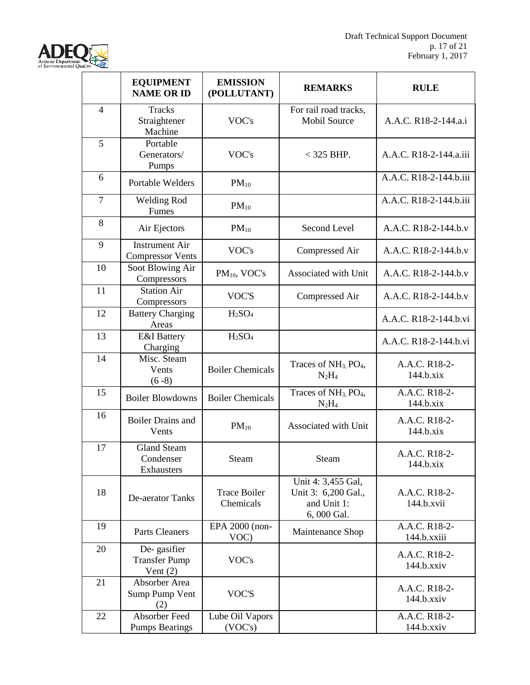

|                | <b>EQUIPMENT</b><br><b>NAME OR ID</b>             | <b>EMISSION</b><br>(POLLUTANT)   | <b>REMARKS</b>                                                         | <b>RULE</b>                             |
|----------------|---------------------------------------------------|----------------------------------|------------------------------------------------------------------------|-----------------------------------------|
| $\overline{4}$ | <b>Tracks</b><br>Straightener<br>Machine          | VOC's                            | For rail road tracks,<br><b>Mobil Source</b>                           | A.A.C. R18-2-144.a.i                    |
| 5              | Portable<br>Generators/<br>Pumps                  | VOC's                            | $<$ 325 BHP.                                                           | A.A.C. R18-2-144.a.iii                  |
| 6              | <b>Portable Welders</b>                           | $PM_{10}$                        |                                                                        | A.A.C. R18-2-144.b.iii                  |
| $\overline{7}$ | <b>Welding Rod</b><br>Fumes                       | $PM_{10}$                        |                                                                        | A.A.C. R18-2-144.b.iii                  |
| 8              | Air Ejectors                                      | $PM_{10}$                        | Second Level                                                           | A.A.C. R18-2-144.b.v                    |
| 9              | <b>Instrument Air</b><br><b>Compressor Vents</b>  | VOC's                            | Compressed Air                                                         | A.A.C. R18-2-144.b.v                    |
| 10             | Soot Blowing Air<br>Compressors                   | PM <sub>10</sub> , VOC's         | Associated with Unit                                                   | A.A.C. R18-2-144.b.v                    |
| 11             | <b>Station Air</b><br>Compressors                 | VOC'S                            | Compressed Air                                                         | A.A.C. R18-2-144.b.v                    |
| 12             | <b>Battery Charging</b><br>Areas                  | H <sub>2</sub> SO <sub>4</sub>   |                                                                        | A.A.C. R18-2-144.b.vi                   |
| 13             | <b>E&amp;I</b> Battery<br>Charging                | H <sub>2</sub> SO <sub>4</sub>   |                                                                        | A.A.C. R18-2-144.b.vi                   |
| 14             | Misc. Steam<br>Vents<br>$(6-8)$                   | <b>Boiler Chemicals</b>          | Traces of NH <sub>3</sub> , PO <sub>4</sub> ,<br>$N_2H_4$              | A.A.C. R18-2-<br>144.b.xix              |
| 15             | <b>Boiler Blowdowns</b>                           | <b>Boiler Chemicals</b>          | Traces of NH <sub>3</sub> , PO <sub>4</sub> ,<br>$N_2H_4$              | A.A.C. R18-2-<br>144.b.xix              |
| 16             | <b>Boiler Drains and</b><br>Vents                 | $PM_{10}$                        | Associated with Unit                                                   | A.A.C. R18-2-<br>144.b.xix              |
| 17             | <b>Gland Steam</b><br>Condenser<br>Exhausters     | Steam                            | Steam                                                                  | A.A.C. R18-2-<br>144.b.xix              |
| 18             | De-aerator Tanks                                  | <b>Trace Boiler</b><br>Chemicals | Unit 4: 3,455 Gal,<br>Unit 3: 6,200 Gal.,<br>and Unit 1:<br>6,000 Gal. | A.A.C. R18-2-<br>144.b.xvii             |
| 19             | Parts Cleaners                                    | EPA 2000 (non-<br>VOC)           | Maintenance Shop                                                       | A.A.C. R18-2-<br>144.b.xxiii            |
| 20             | De-gasifier<br><b>Transfer Pump</b><br>Vent $(2)$ | VOC's                            |                                                                        | A.A.C. R18-2-<br>$144.b.$ xxiv          |
| 21             | Absorber Area<br>Sump Pump Vent<br>(2)            | VOC'S                            |                                                                        | A.A.C. R18-2-<br>$144.b.$ xxiv          |
| 22             | Absorber Feed<br><b>Pumps Bearings</b>            | Lube Oil Vapors<br>(VOC's)       |                                                                        | A.A.C. R <sub>18-2-</sub><br>144.b.xxiv |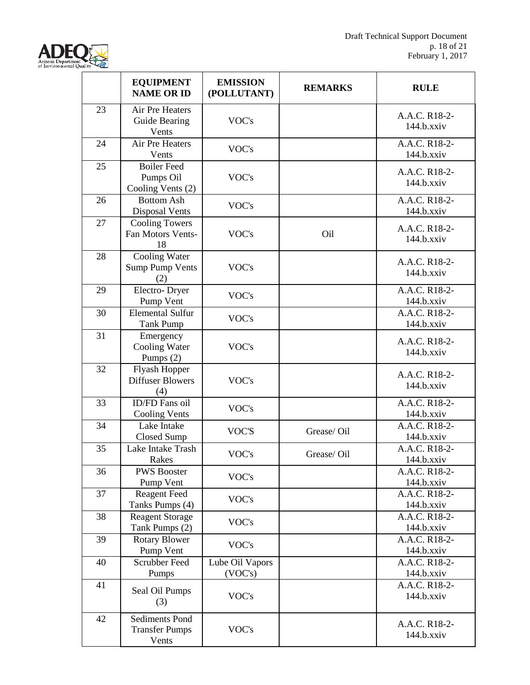

|    | <b>EQUIPMENT</b><br><b>NAME OR ID</b>                   | <b>EMISSION</b><br>(POLLUTANT) | <b>REMARKS</b> | <b>RULE</b>                    |
|----|---------------------------------------------------------|--------------------------------|----------------|--------------------------------|
| 23 | Air Pre Heaters<br>Guide Bearing<br>Vents               | VOC's                          |                | A.A.C. R18-2-<br>$144.b.$ xxiv |
| 24 | Air Pre Heaters<br>Vents                                | VOC's                          |                | A.A.C. R18-2-<br>$144.b.$ xxiv |
| 25 | <b>Boiler Feed</b><br>Pumps Oil<br>Cooling Vents (2)    | VOC's                          |                | A.A.C. R18-2-<br>$144.b.$ xxiv |
| 26 | <b>Bottom Ash</b><br>Disposal Vents                     | VOC's                          |                | A.A.C. R18-2-<br>$144.b.$ xxiv |
| 27 | <b>Cooling Towers</b><br>Fan Motors Vents-<br>18        | VOC's                          | Oil            | A.A.C. R18-2-<br>$144.b.$ xxiv |
| 28 | Cooling Water<br><b>Sump Pump Vents</b><br>(2)          | VOC's                          |                | A.A.C. R18-2-<br>$144.b.$ xxiv |
| 29 | Electro-Dryer<br>Pump Vent                              | VOC's                          |                | A.A.C. R18-2-<br>$144.b.$ xxiv |
| 30 | <b>Elemental Sulfur</b><br>Tank Pump                    | VOC's                          |                | A.A.C. R18-2-<br>$144.b.$ xxiv |
| 31 | Emergency<br><b>Cooling Water</b><br>Pumps $(2)$        | VOC's                          |                | A.A.C. R18-2-<br>$144.b.$ xxiv |
| 32 | Flyash Hopper<br><b>Diffuser Blowers</b><br>(4)         | VOC's                          |                | A.A.C. R18-2-<br>$144.b.$ xxiv |
| 33 | ID/FD Fans oil<br><b>Cooling Vents</b>                  | VOC's                          |                | A.A.C. R18-2-<br>$144.b.$ xxiv |
| 34 | Lake Intake<br>Closed Sump                              | VOC'S                          | Grease/Oil     | A.A.C. R18-2-<br>$144.b.$ xxiv |
| 35 | Lake Intake Trash<br>Rakes                              | VOC's                          | Grease/Oil     | A.A.C. R18-2-<br>$144.b.$ xxiv |
| 36 | <b>PWS Booster</b><br>Pump Vent                         | VOC's                          |                | A.A.C. R18-2-<br>$144.b.$ xxiv |
| 37 | <b>Reagent Feed</b><br>Tanks Pumps (4)                  | VOC's                          |                | A.A.C. R18-2-<br>$144.b.$ xxiv |
| 38 | <b>Reagent Storage</b><br>Tank Pumps (2)                | VOC's                          |                | A.A.C. R18-2-<br>$144.b.$ xxiv |
| 39 | <b>Rotary Blower</b><br>Pump Vent                       | VOC's                          |                | A.A.C. R18-2-<br>$144.b.$ xxiv |
| 40 | <b>Scrubber Feed</b><br>Pumps                           | Lube Oil Vapors<br>(VOC's)     |                | A.A.C. R18-2-<br>$144.b.$ xxiv |
| 41 | Seal Oil Pumps<br>(3)                                   | VOC's                          |                | A.A.C. R18-2-<br>$144.b.$ xxiv |
| 42 | <b>Sediments Pond</b><br><b>Transfer Pumps</b><br>Vents | VOC's                          |                | A.A.C. R18-2-<br>$144.b.$ xxiv |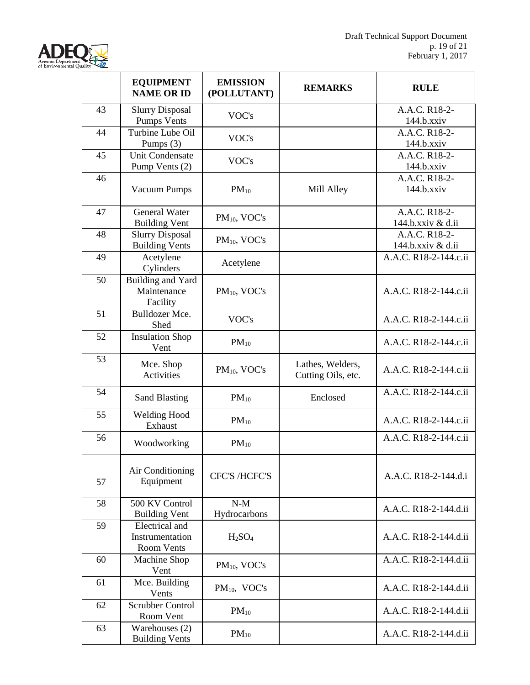

|    | <b>EQUIPMENT</b><br><b>NAME OR ID</b>           | <b>EMISSION</b><br>(POLLUTANT) | <b>REMARKS</b>                         | <b>RULE</b>                        |
|----|-------------------------------------------------|--------------------------------|----------------------------------------|------------------------------------|
| 43 | <b>Slurry Disposal</b><br>Pumps Vents           | VOC's                          |                                        | A.A.C. R18-2-<br>$144.b.$ xxiv     |
| 44 | Turbine Lube Oil<br>Pumps (3)                   | VOC's                          |                                        | A.A.C. R18-2-<br>$144.b.$ xxiv     |
| 45 | <b>Unit Condensate</b><br>Pump Vents (2)        | VOC's                          |                                        | A.A.C. R18-2-<br>$144.b.$ xxiv     |
| 46 | <b>Vacuum Pumps</b>                             | $PM_{10}$                      | Mill Alley                             | A.A.C. R18-2-<br>$144.b.$ xxiv     |
| 47 | <b>General Water</b><br><b>Building Vent</b>    | $PM_{10}$ , VOC's              |                                        | A.A.C. R18-2-<br>144.b.xxiv & d.ii |
| 48 | <b>Slurry Disposal</b><br><b>Building Vents</b> | $PM_{10}$ , VOC's              |                                        | A.A.C. R18-2-<br>144.b.xxiv & d.ii |
| 49 | Acetylene<br>Cylinders                          | Acetylene                      |                                        | A.A.C. R18-2-144.c.ii              |
| 50 | Building and Yard<br>Maintenance<br>Facility    | PM <sub>10</sub> , VOC's       |                                        | A.A.C. R18-2-144.c.ii              |
| 51 | Bulldozer Mce.<br>Shed                          | VOC's                          |                                        | A.A.C. R18-2-144.c.ii              |
| 52 | <b>Insulation Shop</b><br>Vent                  | $PM_{10}$                      |                                        | A.A.C. R18-2-144.c.ii              |
| 53 | Mce. Shop<br><b>Activities</b>                  | $PM_{10}$ , VOC's              | Lathes, Welders,<br>Cutting Oils, etc. | A.A.C. R18-2-144.c.ii              |
| 54 | <b>Sand Blasting</b>                            | $PM_{10}$                      | Enclosed                               | A.A.C. R18-2-144.c.ii              |
| 55 | <b>Welding Hood</b><br>Exhaust                  | $PM_{10}$                      |                                        | A.A.C. R18-2-144.c.ii              |
| 56 | Woodworking                                     | $PM_{10}$                      |                                        | A.A.C. R18-2-144.c.ii              |
| 57 | Air Conditioning<br>Equipment                   | <b>CFC'S /HCFC'S</b>           |                                        | A.A.C. R18-2-144.d.i               |
| 58 | 500 KV Control<br><b>Building Vent</b>          | $N-M$<br>Hydrocarbons          |                                        | A.A.C. R18-2-144.d.ii              |
| 59 | Electrical and<br>Instrumentation<br>Room Vents | H <sub>2</sub> SO <sub>4</sub> |                                        | A.A.C. R18-2-144.d.ii              |
| 60 | <b>Machine Shop</b><br>Vent                     | PM <sub>10</sub> , VOC's       |                                        | A.A.C. R18-2-144.d.ii              |
| 61 | Mce. Building<br>Vents                          | $PM_{10}$ , VOC's              |                                        | A.A.C. R18-2-144.d.ii              |
| 62 | <b>Scrubber Control</b><br>Room Vent            | $PM_{10}$                      |                                        | A.A.C. R18-2-144.d.ii              |
| 63 | Warehouses (2)<br><b>Building Vents</b>         | $PM_{10}$                      |                                        | A.A.C. R18-2-144.d.ii              |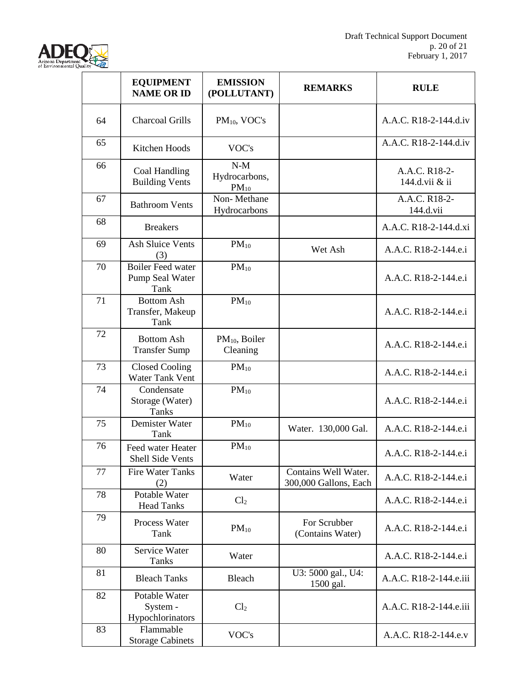

|    | <b>EQUIPMENT</b><br><b>NAME OR ID</b>               | <b>EMISSION</b><br>(POLLUTANT)        | <b>REMARKS</b>                                | <b>RULE</b>                     |
|----|-----------------------------------------------------|---------------------------------------|-----------------------------------------------|---------------------------------|
| 64 | <b>Charcoal Grills</b>                              | $PM_{10}$ , VOC's                     |                                               | A.A.C. R18-2-144.d.iv           |
| 65 | Kitchen Hoods                                       | VOC's                                 |                                               | A.A.C. R18-2-144.d.iv           |
| 66 | Coal Handling<br><b>Building Vents</b>              | $N-M$<br>Hydrocarbons,<br>$PM_{10}$   |                                               | A.A.C. R18-2-<br>144.d.vii & ii |
| 67 | <b>Bathroom Vents</b>                               | Non-Methane<br>Hydrocarbons           |                                               | A.A.C. R18-2-<br>144.d.vii      |
| 68 | <b>Breakers</b>                                     |                                       |                                               | A.A.C. R18-2-144.d.xi           |
| 69 | <b>Ash Sluice Vents</b><br>(3)                      | $PM_{10}$                             | Wet Ash                                       | A.A.C. R18-2-144.e.i            |
| 70 | <b>Boiler Feed water</b><br>Pump Seal Water<br>Tank | $PM_{10}$                             |                                               | A.A.C. R18-2-144.e.i            |
| 71 | <b>Bottom Ash</b><br>Transfer, Makeup<br>Tank       | $PM_{10}$                             |                                               | A.A.C. R18-2-144.e.i            |
| 72 | <b>Bottom Ash</b><br><b>Transfer Sump</b>           | PM <sub>10</sub> , Boiler<br>Cleaning |                                               | A.A.C. R18-2-144.e.i            |
| 73 | <b>Closed Cooling</b><br><b>Water Tank Vent</b>     | $PM_{10}$                             |                                               | A.A.C. R18-2-144.e.i            |
| 74 | Condensate<br>Storage (Water)<br><b>Tanks</b>       | $PM_{10}$                             |                                               | A.A.C. R18-2-144.e.i            |
| 75 | Demister Water<br>Tank                              | $PM_{10}$                             | Water. 130,000 Gal.                           | A.A.C. R18-2-144.e.i            |
| 76 | Feed water Heater<br><b>Shell Side Vents</b>        | $PM_{10}$                             |                                               | A.A.C. R18-2-144.e.i            |
| 77 | <b>Fire Water Tanks</b><br>(2)                      | Water                                 | Contains Well Water.<br>300,000 Gallons, Each | A.A.C. R18-2-144.e.i            |
| 78 | Potable Water<br><b>Head Tanks</b>                  | Cl <sub>2</sub>                       |                                               | A.A.C. R18-2-144.e.i            |
| 79 | Process Water<br>Tank                               | $PM_{10}$                             | For Scrubber<br>(Contains Water)              | A.A.C. R18-2-144.e.i            |
| 80 | Service Water<br><b>Tanks</b>                       | Water                                 |                                               | A.A.C. R18-2-144.e.i            |
| 81 | <b>Bleach Tanks</b>                                 | Bleach                                | U3: 5000 gal., U4:<br>1500 gal.               | A.A.C. R18-2-144.e.iii          |
| 82 | Potable Water<br>System -<br>Hypochlorinators       | Cl <sub>2</sub>                       |                                               | A.A.C. R18-2-144.e.iii          |
| 83 | Flammable<br><b>Storage Cabinets</b>                | VOC's                                 |                                               | A.A.C. R18-2-144.e.v            |